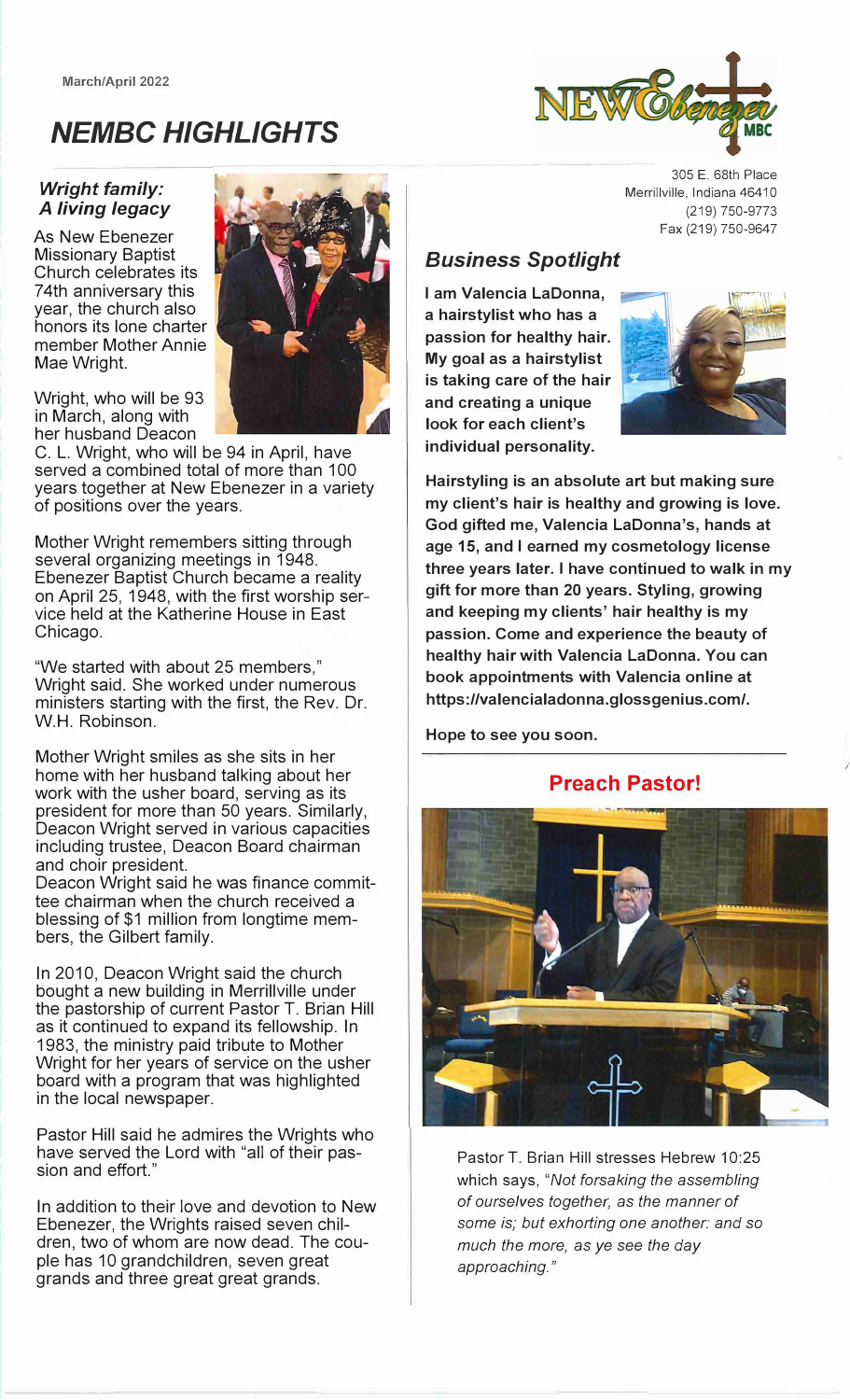**March/April 2022** 



# *NEMBC HIGHLIGHTS*

#### *Wright family: A living legacy*

As New Ebenezer Missionary Baptist Church celebrates its 74th anniversary this year, the church also honors its lone charter member Mother Annie Mae Wright.

Wright, who will be 93 in March, along with her husband Deacon

C. L. Wright, who will be 94 in April, have served a combined total of more than 100 years together at New Ebenezer in a variety of positions over the years.

Mother Wright remembers sitting through several organizing meetings in 1948. Ebenezer Baptist Church became a reality on April 25, 1948, with the first worship service held at the Katherine House in East Chicago.

"We started with about 25 members," Wright said. She worked under numerous ministers starting with the first, the Rev. Dr. W.H. Robinson.

Mother Wright smiles as she sits in her home with her husband talking about her work with the usher board, serving as its president for more than 50 years. Similarly, Deacon Wright served in various capacities including trustee, Deacon Board chairman and choir president.

Deacon Wright said he was finance committee chairman when the church received a blessing of \$1 million from longtime members, the Gilbert family.

In 2010, Deacon Wright said the church bought a new building in Merrillville under the pastorship of current Pastor T. Brian Hill as it continued to expand its fellowship. In 1983, the ministry paid tribute to Mother Wright for her years of service on the usher board with a program that was highlighted in the local newspaper.

Pastor Hill said he admires the Wrights who have served the Lord with "all of their passion and effort."

In addition to their love and devotion to New Ebenezer, the Wrights raised seven children, two of whom are now dead. The couple has 10 grandchildren, seven great grands and three great great grands.

305 E. 68th Place Merrillville, Indiana 46410 (219) 750-9773 Fax (219) 750-9647

## *Business Spotlight*

**I am Valencia LaDonna, a hairstylist who has a passion for healthy hair. My goal as a hairstylist is taking care of the hair and creating a unique look for each client's individual personality.** 



*I* 

**Hairstyling is an absolute art but making sure my client's hair is healthy and growing is love. God gifted me, Valencia LaDonna's, hands at age 15, and I earned my cosmetology license three years later. I have continued to walk in my gift for more than 20 years. Styling, growing and keeping my clients' hair healthy is my passion. Come and experience the beauty of healthy hair with Valencia LaDonna. You can book appointments with Valencia online at https://valencialadonna.glossgenius.com/.** 

**Hope to see you soon.** 

### **Preach Pastor!**



Pastor T. Brian Hill stresses Hebrew 10:25 which says, *"Not forsaking the assembling of ourselves together,* as *the manner of*  some is; *but exhorting one another: and* so *much the more,* as *ye* see *the day approaching."*